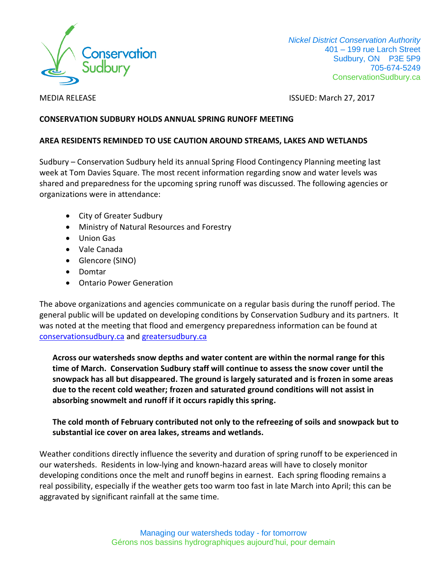

 *Nickel District Conservation Authority* 401 – 199 rue Larch Street Sudbury, ON P3E 5P9 705-674-5249 ConservationSudbury.ca

MEDIA RELEASE ISSUED: March 27, 2017

## **CONSERVATION SUDBURY HOLDS ANNUAL SPRING RUNOFF MEETING**

## **AREA RESIDENTS REMINDED TO USE CAUTION AROUND STREAMS, LAKES AND WETLANDS**

Sudbury – Conservation Sudbury held its annual Spring Flood Contingency Planning meeting last week at Tom Davies Square. The most recent information regarding snow and water levels was shared and preparedness for the upcoming spring runoff was discussed. The following agencies or organizations were in attendance:

- City of Greater Sudbury
- Ministry of Natural Resources and Forestry
- Union Gas
- Vale Canada
- Glencore (SINO)
- Domtar
- Ontario Power Generation

The above organizations and agencies communicate on a regular basis during the runoff period. The general public will be updated on developing conditions by Conservation Sudbury and its partners. It was noted at the meeting that flood and emergency preparedness information can be found at [conservationsudbury.ca](http://conservationsudbury.ca/) and [greatersudbury.ca](http://www.greatersudbury.ca/)

**Across our watersheds snow depths and water content are within the normal range for this time of March. Conservation Sudbury staff will continue to assess the snow cover until the snowpack has all but disappeared. The ground is largely saturated and is frozen in some areas due to the recent cold weather; frozen and saturated ground conditions will not assist in absorbing snowmelt and runoff if it occurs rapidly this spring.**

## **The cold month of February contributed not only to the refreezing of soils and snowpack but to substantial ice cover on area lakes, streams and wetlands.**

Weather conditions directly influence the severity and duration of spring runoff to be experienced in our watersheds. Residents in low-lying and known-hazard areas will have to closely monitor developing conditions once the melt and runoff begins in earnest. Each spring flooding remains a real possibility, especially if the weather gets too warm too fast in late March into April; this can be aggravated by significant rainfall at the same time.